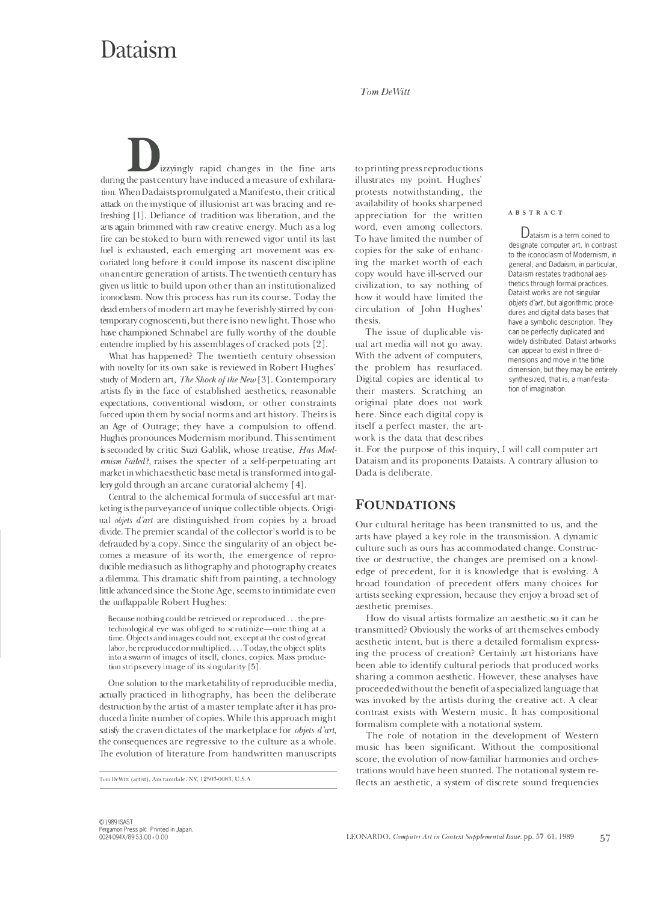# **Dataism**

### *Tom DeWitt*

izzyingly rapid changes in the fine arts during the past century have induced a measure of exhilaration. When Dadaists promulgated a Manifesto, their critical attack on the mystique of illusionist art was bracing and refreshing [l]. Defiance of tradition was liberation, and the arts again brimmed with raw creative energy. Much as a log fire can be stoked to burn with renewed vigor until its last fuel is exhausted, each emerging art movement was excoriated long before it could impose its nascent discipline on an entire generation of artists. The twentieth century has given us little to build upon other than an institutionalized iconoclasm. Now this process has run its course. Today the dead embers of modern art may be feverishly stirred by contemporary cognoscenti, but there is no new light. Those who have championed Schnabel are fully worthy of the double entendre implied by his assemblages of cracked pots [2].

What has happened? The twentieth century obsession with novelty for its own sake is reviewed in Robert Hughes' study of Modern art, *The Shock of the New* [3]. Contemporary artists fly in the face of established aesthetics, reasonable expectations, conventional wisdom, or other constraints forced upon them by social norms and art history. Theirs is an Age of Outrage; they have a compulsion to offend. Hughes pronounces Modernism moribund. This sentiment is seconded by critic Suzi Gablik, whose treatise, *Has Modernism Failed?,* raises the specter of a self-perpetuating art market in which aesthetic base metal is transformed into gallery gold through an arcane curatorial alchemy [ 4].

Central to the alchemical formula of successful art marketing is the purveyance of unique collectible objects. Original *objets d'art* are distinguished from copies by a broad divide. The premier scandal of the collector's world is to be defrauded by a copy. Since the singularity of an object becomes a measure of its worth, the emergence of reproducible media such as lithography and photography creates a dilemma. This dramatic shift from painting, a technology little advanced since the Stone Age, seems to intimidate even the unflappable Robert Hughes:

Because nothing could be retrieved or reproduced ... the pretechnological eye was obliged to scrutinize-one thing at a time. Objects and images could not, except at the cost of great labor, be reproduced or multiplied.... Today, the object splits into a swarm of images of itself, clones, copies. Mass production strips every image of its singularity [5].

One solution to the marketability of reproducible media, actually practiced in lithography, has been the deliberate destruction by the artist of a master template after it has produced a finite number of copies. While this approach might satisfy the craven dictates of the marketplace for *objets d'art,* the consequences are regressive to the culture as a whole. The evolution of literature from handwritten manuscripts

**Tom DcWlu (artist), Ancramdale, NY, 12503-0083, U.S.A.** 

to printing press reproductions illustrates my point. Hughes' protests notwithstanding, the availability of books sharpened appreciation for the written word, even among collectors. To have limited the number of copies for the sake of enhancing the market worth of each copy would have ill-served our civilization, to say nothing of how it would have limited the circulation of John Hughes' thesis.

The issue of duplicable visual art media will not go away. With the advent of computers, the problem has resurfaced. Digital copies are identical to their masters. Scratching an original plate does not work here. Since each digital copy is itself a perfect master, the artwork is the data that describes

it. For the purpose of this inquiry, I will call computer art Dataism and its proponents Dataists. A contrary allusion to Dada is deliberate.

## **FOUNDATIONS**

Our cultural heritage has been transmitted to us, and the arts have played a key role in the transmission. A dynamic culture such as ours has accommodated change. Constructive or destructive, the changes are premised on a knowledge of precedent, for it is knowledge that is evolving. A broad foundation of precedent offers many choices for artists seeking expression, because they enjoy a broad set of aesthetic premises.

How do visual artists formalize an aesthetic so it can be transmitted? Obviously the works of art themselves embody aesthetic intent, but is there a detailed formalism expressing the process of creation? Certainly art historians have been able to identify cultural periods that produced works sharing a common aesthetic. However, these analyses have proceeded without the benefit of a specialized language that was invoked by the artists during the creative act. A clear contrast exists with Western music. It has compositional formalism complete with a notational system.

The role of notation in the development of Western music has been significant. Without the compositional score, the evolution of now-familiar harmonies and orchestrations would have been stunted. The notational system reflects an aesthetic, a system of discrete sound frequencies

© 1989 ISAST Pergamon Press pie. Printed in Japan. 0024-094X/89 \$3.00+0.00

#### **ABSTRACT**

Dataism is a term coined to designate computer art. In contrast to the iconoclasm of Modernism, in general, and Dadaism, in particular, Dataism restates traditional aesthetics through formal practices. Dataist works are not singular *objets* d'art, but algorithmic procedures and digital data bases that have a symbolic description. They can be perfectly duplicated and widely distributed. Dataist artworks can appear to exist in three dimensions and move in the time dimension, but they may be entirely synthesized, that is, a manifestation of imagination.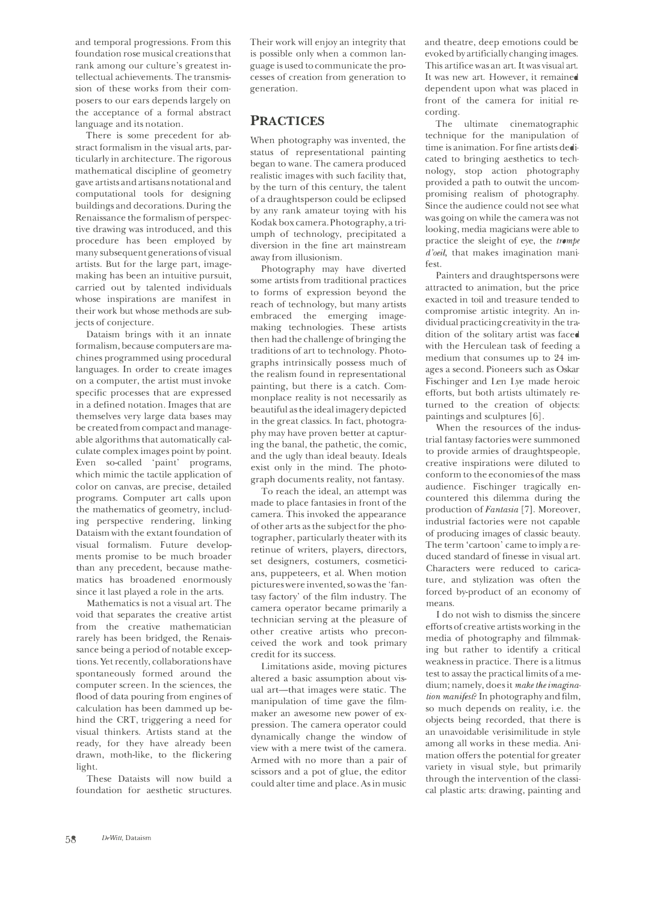and temporal progressions. From this foundation rose musical creations that rank among our culture's greatest intellectual achievements. The transmission of these works from their composers to our ears depends largely on the acceptance of a formal abstract language and its notation.

There is some precedent for abstract formalism in the visual arts, particularly in architecture. The rigorous mathematical discipline of geometry gave artists and artisans notational and computational tools for designing buildings and decorations. During the Renaissance the formalism of perspective drawing was introduced, and this procedure has been employed by many subsequent generations of visual artists. But for the large part, imagemaking has been an intuitive pursuit, carried out by talented individuals whose inspirations are manifest in their work but whose methods are subjects of conjecture.

Dataism brings with it an innate formalism, because computers are machines programmed using procedural languages. In order to create images on a computer, the artist must invoke specific processes that are expressed in a defined notation. Images that are themselves very large data bases may be created from compact and manageable algorithms that automatically calculate complex images point by point. Even so-called 'paint' programs, which mimic the tactile application of color on canvas, are precise, detailed programs. Computer art calls upon the mathematics of geometry, including perspective rendering, linking Dataism with the extant foundation of visual formalism. Future developments promise to be much broader than any precedent, because mathematics has broadened enormously since it last played a role in the arts.

Mathematics is not a visual art. The void that separates the creative artist from the creative mathematician rarely has been bridged, the Renaissance being a period of notable exceptions. Yet recently, collaborations have spontaneously formed around the computer screen. In the sciences, the flood of data pouring from engines of calculation has been dammed up behind the CRT, triggering a need for visual thinkers. Artists stand at the ready, for they have already been drawn, moth-like, to the flickering light.

These Dataists will now build a foundation for aesthetic structures. Their work will enjoy an integrity that is possible only when a common language is used to communicate the processes of creation from generation to generation.

# **PRACTICES**

When photography was invented, the status of representational painting began to wane. The camera produced realistic images with such facility that, by the turn of this century, the talent of a draughts person could be eclipsed by any rank amateur toying with his Kodak box camera. Photography, a triumph of technology, precipitated a diversion in the fine art mainstream away from illusionism.

Photography may have diverted some artists from traditional practices to forms of expression beyond the reach of technology, but many artists embraced the emerging imagemaking technologies. These artists then had the challenge of bringing the traditions of art to technology. Photographs intrinsically possess much of the realism found in representational painting, but there is a catch. Commonplace reality is not necessarily as beautiful as the ideal imagery depicted in the great classics. In fact, photography may have proven better at capturing the banal, the pathetic, the comic, and the ugly than ideal beauty. Ideals exist only in the mind. The photograph documents reality, not fantasy.

To reach the ideal, an attempt was made to place fantasies in front of the camera. This invoked the appearance of other arts as the subject for the photographer, particularly theater with its retinue of writers, players, directors, set designers, costumers, cosmeticians, puppeteers, et al. When motion pictures were invented, so was the 'fantasy factory' of the film industry. The camera operator became primarily a technician serving at the pleasure of other creative artists who preconceived the work and took primary credit for its success.

Limitations aside, moving pictures altered a basic assumption about visual art-that images were static. The manipulation of time gave the filmmaker an awesome new power of expression. The camera operator could dynamically change the window of view with a mere twist of the camera. Armed with no more than a pair of scissors and a pot of glue, the editor could alter time and place. As in music

and theatre, deep emotions could be evoked by artificially changing images. This artifice was an art. It was visual art. It was new art. However, it remained dependent upon what was placed in front of the camera for initial recording.

The ultimate cinematographic technique for the manipulation of time is animation. For fine artists dedicated to bringing aesthetics to technology, stop action photography provided a path to outwit the uncompromising realism of photography. Since the audience could not see what was going on while the camera was not looking, media magicians were able to practice the sleight of eye, the *trompe d'oeil,* that makes imagination manifest.

Painters and draughtspersons were attracted to animation, but the price exacted in toil and treasure tended to compromise artistic integrity. An individual practicing creativity in the tradition of the solitary artist was faced with the Herculean task of feeding a medium that consumes up to 24 images a second. Pioneers such as Oskar Fischinger and Len Lye made heroic efforts, but both artists ultimately returned to the creation of objects: paintings and sculptures [6].

When the resources of the industrial fantasy factories were summoned to provide armies of draughtspeople, creative inspirations were diluted to conform to the economies of the mass audience. Fischinger tragically encountered this dilemma during the production of *Fantasia* [7]. Moreover, industrial factories were not capable of producing images of classic beauty. The term 'cartoon' came to imply a reduced standard of finesse in visual art. Characters were reduced to caricature, and stylization was often the forced by-product of an economy of means.

I do not wish to dismiss the.sincere efforts of creative artists working in the media of photography and filmmaking but rather to identify a critical weakness in practice. There is a litmus test to assay the practical limits of a medium; namely, does it *make the imagination manifest?* In photography and film, so much depends on reality, i.e. the objects being recorded, that there is an unavoidable verisimilitude in style among all works in these media. Animation offers the potential for greater variety in visual style, but primarily through the intervention of the classical plastic arts: drawing, painting and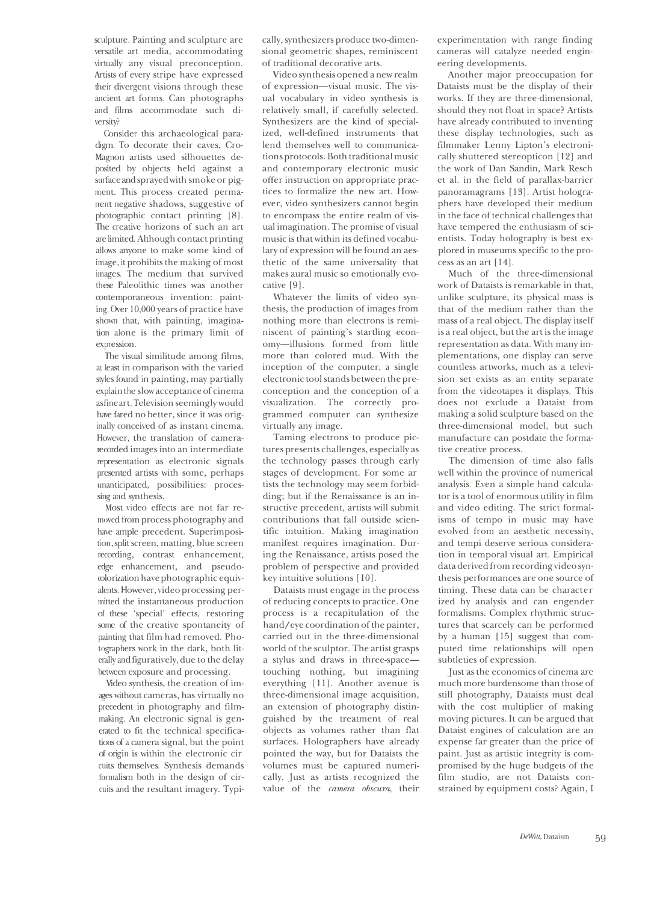sculpture. Painting and sculpture are versatile art media, accommodating virtually any visual preconception. Artists of every stripe have expressed their divergent visions through these ancient art forms. Can photographs and films accommodate such diversity?

Consider this archaeological paradigm. To decorate their caves, Cro-Magnon artists used silhouettes deposited by objects held against a surface and sprayed with smoke or pigment. This process created permanent negative shadows, suggestive of photographic contact printing [8]. The creative horizons of such an art are limited. Although contact printing allows anyone to make some kind of image, it prohibits the making of most images. The medium that survived these Paleolithic times was another contemporaneous invention: painting. Over 10,000 years of practice have shown that, with painting, imagination alone is the primary limit of expression.

The visual similitude among films, at least in comparison with the varied styles found in painting, may partially explain the slow acceptance of cinema as fine art. Television seemingly would have fared no better, since it was originally conceived of as instant cinema. However, the translation of camerarecorded images into an intermediate representation as electronic signals presented artists with some, perhaps unanticipated, possibilities: processing and synthesis.

Most video effects are not far removed from process photography and have ample precedent. Superimposition, split screen, matting, blue screen recording, contrast enhancement, edge enhancement, and pseudocolorization have photographic equivalents. However, video processing permitted the instantaneous production of these 'special' effects, restoring some of the creative spontaneity of painting that film had removed. Photographers work in the dark, both literally and figuratively, due to the delay between exposure and processing.

Video synthesis, the creation of images without cameras, has virtually no precedent in photography and filmmaking. An electronic signal is generated to fit the technical specifications of a camera signal, but the point of origin is within the electronic cir cuits themselves. Synthesis demands formalism both in the design of circuits and the resultant imagery. Typically, synthesizers produce two-dimensional geometric shapes, reminiscent of traditional decorative arts.

Video syn thesis opened a new realm of expression-visual music. The visual vocabulary in video synthesis is relatively small, if carefully selected. Synthesizers are the kind of specialized, well-defined instruments that lend themselves well to communications protocols. Both traditional music and contemporary electronic music offer instruction on appropriate practices to formalize the new art. However, video synthesizers cannot begin to encompass the entire realm of visual imagination. The promise of visual music is that within its defined vocabulary of expression will be found an aesthetic of the same universality that makes aural music so emotionally evocative [9].

Whatever the limits of video synthesis, the production of images from nothing more than electrons is reminiscent of painting's startling economy-illusions formed from little more than colored mud. With the inception of the computer, a single electronic tool stands between the preconception and the conception of a visualization. The correctly programmed computer can synthesize virtually any image.

Taming electrons to produce pictures presents challenges, especially as the technology passes through early stages of development. For some ar tists the technology may seem forbidding; but if the Renaissance is an instructive precedent, artists will submit contributions that fall outside scientific intuition. Making imagination manifest requires imagination. During the Renaissance, artists posed the problem of perspective and provided key intuitive solutions [10].

Dataists must engage in the process of reducing concepts to practice. One process is a recapitulation of the hand/eye coordination of the painter, carried out in the three-dimensional world of the sculptor. The artist grasps a stylus and draws in three-spacetouching nothing, but imagining everything [11]. Another avenue is three-dimensional image acquisition, an extension of photography distinguished by the treatment of real objects as volumes rather than flat surfaces. Holographers have already pointed the way, but for Dataists the volumes must be captured numerically. Just as artists recognized the value of the *camera obscura,* their experimentation with range finding cameras will catalyze needed engineering developments.

Another major preoccupation for Dataists must be the display of their works. If they are three-dimensional, should they not float in space? Artists have already contributed to inventing these display technologies, such as filmmaker Lenny Lipton's electronically shuttered stereopticon [12] and the work of Dan Sandin, Mark Resch et al. in the field of parallax-barrier panoramagrams [13]. Artist holographers have developed their medium in the face of technical challenges that have tempered the enthusiasm of scientists. Today holography is best explored in museums specific to the process as an art [14].

Much of the three-dimensional work of Dataists is remarkable in that, unlike sculpture, its physical mass is that of the medium rather than the mass of a real object. The display itself is a real object, but the art is the image representation as data. With many implementations, one display can serve countless artworks, much as a television set exists as an entity separate from the videotapes it displays. This does not exclude a Dataist from making a solid sculpture based on the three-dimensional model, but such manufacture can postdate the formative creative process.

The dimension of time also falls well within the province of numerical analysis. Even a simple hand calculator is a tool of enormous utility in film and video editing. The strict formalisms of tempo in music may have evolved from an aesthetic necessity, and tempi deserve serious consideration in temporal visual art. Empirical data derived from recording video synthesis performances are one source of timing. These data can be characterized by analysis and can engender formalisms. Complex rhythmic structures that scarcely can be performed by a human [15] suggest that computed time relationships will open subtleties of expression.

Just as the economics of cinema are much more burdensome than those of still photography, Dataists must deal with the cost multiplier of making moving pictures. It can be argued that Dataist engines of calculation are an expense far greater than the price of paint. Just as artistic integrity is compromised by the huge budgets of the film studio, are not Dataists constrained by equipment costs? Again, I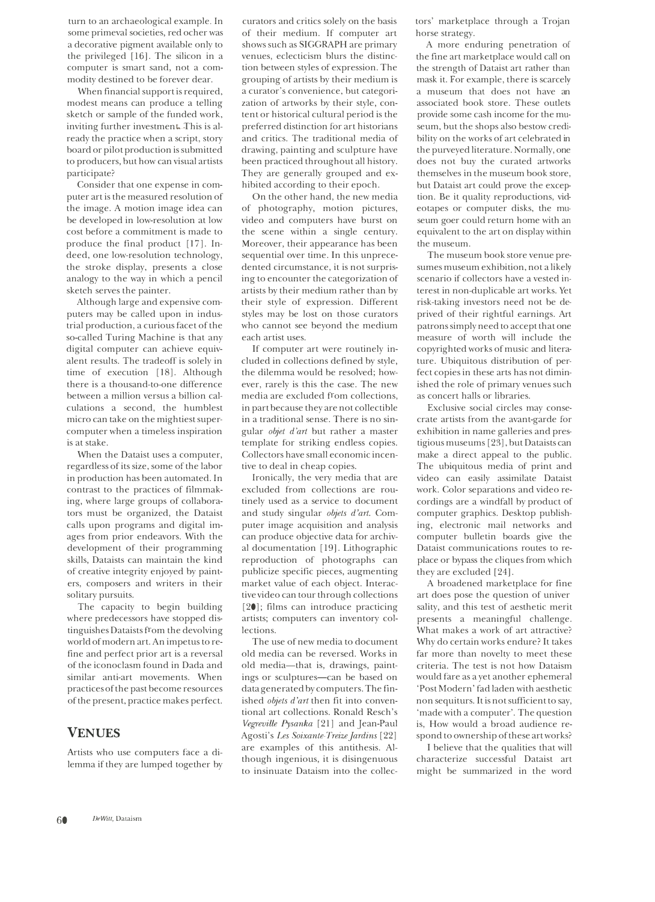turn to an archaeological example. In some primeval societies, red ocher was a decorative pigment available only to the privileged [ 16]. The silicon in a computer is smart sand, not a commodity destined to be forever dear.

When financial support is required, modest means can produce a telling sketch or sample of the funded work, inviting further investment.-This is already the practice when a script, story board or pilot production is submitted to producers, but how can visual artists participate?

Consider that one expense in computer art is the measured resolution of the image. A motion image idea can be developed in low-resolution at low cost before a commitment is made to produce the final product [17]. Indeed, one low-resolution technology, the stroke display, presents a close analogy to the way in which a pencil sketch serves the painter.

Although large and expensive computers may be called upon in industrial production, a curious facet of the so-called Turing Machine is that any digital computer can achieve equivalent results. The tradeoff is solely in time of execution [18]. Although there is a thousand-to-one difference between a million versus a billion calculations a second, the humblest micro can take on the mightiest supercomputer when a timeless inspiration is at stake.

When the Dataist uses a computer, regardless of its size, some of the labor in production has been automated. In contrast to the practices of filmmaking, where large groups of collaborators must be organized, the Dataist calls upon programs and digital images from prior endeavors. With the development of their programming skills, Dataists can maintain the kind of creative integrity enjoyed by painters, composers and writers in their solitary pursuits.

The capacity to begin building where predecessors have stopped distinguishes Dataists from the devolving world of modern art. An impetus to refine and perfect prior art is a reversal of the iconoclasm found in Dada and similar anti-art movements. When practices of the past become resources of the present, practice makes perfect.

### **VENUES**

Artists who use computers face a dilemma if they are lumped together by

curators and critics solely on the basis of their medium. If computer art shows such as SIGGRAPH are primary venues, eclecticism blurs the distinction between styles of expression. The grouping of artists by their medium is a curator's convenience, but categorization of artworks by their style, content or historical cultural period is the preferred distinction for art historians and critics. The traditional media of drawing, painting and sculpture have been practiced throughout all history. They are generally grouped and exhibited according to their epoch.

On the other hand, the new media of photography, motion pictures, video and computers have burst on the scene within a single century. Moreover, their appearance has been sequential over time. In this unprecedented circumstance, it is not surprising to encounter the categorization of artists by their medium rather than by their style of expression. Different styles may be lost on those curators who cannot see beyond the medium each artist uses.

If computer art were routinely included in collections defined by style, the dilemma would be resolved; however, rarely is this the case. The new media are excluded from collections, in part because they are not collectible in a traditional sense. There is no singular *objet d'art* but rather a master template for striking endless copies. Collectors have small economic incentive to deal in cheap copies.

Ironically, the very media that are excluded from collections are routinely used as a service to document and study singular *objets d'art.* Computer image acquisition and analysis can produce objective data for archival documentation [19]. Lithographic reproduction of photographs can publicize specific pieces, augmenting market value of each object. Interactive video can tour through collections [20]; films can introduce practicing artists; computers can inventory collections.

The use of new media to document old media can be reversed. Works in old media-that is, drawings, paintings or sculptures-can be based on data generated by computers. The finished *objets d'art* then fit into conventional art collections. Ronald Resch's *Vegreville Pysanka* [21] and Jean-Paul Agosti 's *Les Soixante-Treize Jardins* [22] are examples of this antithesis. Although ingenious, it is disingenuous to insinuate Dataism into the collectors' marketplace through a Trojan horse strategy.

A more enduring penetration of the fine art marketplace would call on the strength of Dataist art rather than mask it. For example, there is scarcely a museum that does not have an associated book store. These outlets provide some cash income for the museum, but the shops also bestow credibility on the works of art celebrated in the purveyed literature. Normally, one does not buy the curated artworks themselves in the museum book store, but Dataist art could prove the exception. Be it quality reproductions, videotapes or computer disks, the museum goer could return home with an equivalent to the art on display within the museum.

The museum book store venue presumes museum exhibition, not a likely scenario if collectors have a vested interest in non-duplicable art works. Yet risk-taking investors need not be deprived of their rightful earnings. Art patrons simply need to accept that one measure of worth will include the copyrighted works of music and literature. Ubiquitous distribution of perfect copies in these arts has not diminished the role of primary venues such as concert halls or libraries.

Exclusive social circles may consecrate artists from the avant-garde for exhibition in name galleries and prestigious museums [23], but Dataists can make a direct appeal to the public. The ubiquitous media of print and video can easily assimilate Dataist work. Color separations and video recordings are a windfall by product of computer graphics. Desktop publishing, electronic mail networks and computer bulletin boards give the Dataist communications routes to replace or bypass the cliques from which they are excluded [24].

A broadened marketplace for fine art does pose the question of univer sality, and this test of aesthetic merit presents a meaningful challenge. What makes a work of art attractive? Why do certain works endure? It takes far more than novelty to meet these criteria. The test is not how Dataism would fare as a yet another ephemeral 'Post Modern' fad laden with aesthetic non sequiturs. It is not sufficient to say, 'made with a computer'. The question is, How would a broad audience respond to ownership of these art works?

I believe that the qualities that will characterize successful Dataist art might be summarized in the word